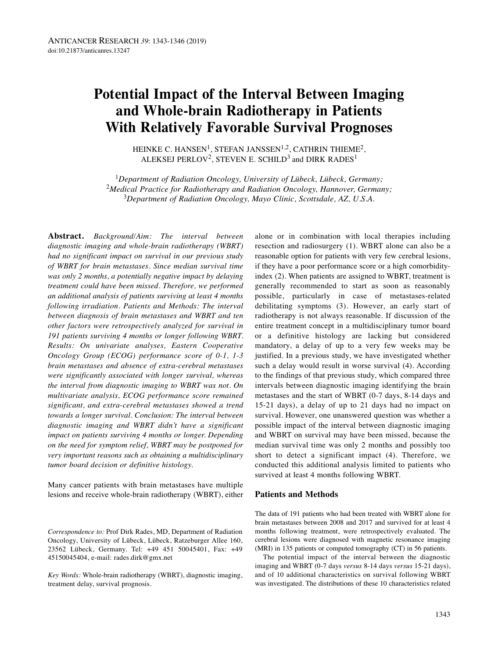# **Potential Impact of the Interval Between Imaging and Whole-brain Radiotherapy in Patients With Relatively Favorable Survival Prognoses**

HEINKE C. HANSEN<sup>1</sup>, STEFAN JANSSEN<sup>1,2</sup>, CATHRIN THIEME<sup>2</sup>, ALEKSEJ PERLOV<sup>2</sup>, STEVEN E. SCHILD<sup>3</sup> and DIRK RADES<sup>1</sup>

<sup>1</sup>*Department of Radiation Oncology, University of Lübeck, Lübeck, Germany;* <sup>2</sup>*Medical Practice for Radiotherapy and Radiation Oncology, Hannover, Germany;* <sup>3</sup>*Department of Radiation Oncology, Mayo Clinic, Scottsdale, AZ, U.S.A.*

**Abstract.** *Background/Aim: The interval between diagnostic imaging and whole-brain radiotherapy (WBRT) had no significant impact on survival in our previous study of WBRT for brain metastases. Since median survival time was only 2 months, a potentially negative impact by delaying treatment could have been missed. Therefore, we performed an additional analysis of patients surviving at least 4 months following irradiation. Patients and Methods: The interval between diagnosis of brain metastases and WBRT and ten other factors were retrospectively analyzed for survival in 191 patients surviving 4 months or longer following WBRT. Results: On univariate analyses, Eastern Cooperative Oncology Group (ECOG) performance score of 0-1, 1-3 brain metastases and absence of extra-cerebral metastases were significantly associated with longer survival, whereas the interval from diagnostic imaging to WBRT was not. On multivariate analysis, ECOG performance score remained significant, and extra-cerebral metastases showed a trend towards a longer survival. Conclusion: The interval between diagnostic imaging and WBRT didn't have a significant impact on patients surviving 4 months or longer. Depending on the need for symptom relief, WBRT may be postponed for very important reasons such as obtaining a multidisciplinary tumor board decision or definitive histology.*

Many cancer patients with brain metastases have multiple lesions and receive whole-brain radiotherapy (WBRT), either

*Key Words:* Whole-brain radiotherapy (WBRT), diagnostic imaging, treatment delay, survival prognosis.

alone or in combination with local therapies including resection and radiosurgery (1). WBRT alone can also be a reasonable option for patients with very few cerebral lesions, if they have a poor performance score or a high comorbidityindex (2). When patients are assigned to WBRT, treatment is generally recommended to start as soon as reasonably possible, particularly in case of metastases-related debilitating symptoms (3). However, an early start of radiotherapy is not always reasonable. If discussion of the entire treatment concept in a multidisciplinary tumor board or a definitive histology are lacking but considered mandatory, a delay of up to a very few weeks may be justified. In a previous study, we have investigated whether such a delay would result in worse survival (4). According to the findings of that previous study, which compared three intervals between diagnostic imaging identifying the brain metastases and the start of WBRT (0-7 days, 8-14 days and 15-21 days), a delay of up to 21 days had no impact on survival. However, one unanswered question was whether a possible impact of the interval between diagnostic imaging and WBRT on survival may have been missed, because the median survival time was only 2 months and possibly too short to detect a significant impact (4). Therefore, we conducted this additional analysis limited to patients who survived at least 4 months following WBRT.

#### **Patients and Methods**

The data of 191 patients who had been treated with WBRT alone for brain metastases between 2008 and 2017 and survived for at least 4 months following treatment, were retrospectively evaluated. The cerebral lesions were diagnosed with magnetic resonance imaging (MRI) in 135 patients or computed tomography (CT) in 56 patients.

The potential impact of the interval between the diagnostic imaging and WBRT (0-7 days *versus* 8-14 days *versus* 15-21 days), and of 10 additional characteristics on survival following WBRT was investigated. The distributions of these 10 characteristics related

*Correspondence to:* Prof Dirk Rades, MD, Department of Radiation Oncology, University of Lübeck, Lübeck, Ratzeburger Allee 160, 23562 Lübeck, Germany. Tel: +49 451 50045401, Fax: +49 45150045404, e-mail: rades.dirk@gmx.net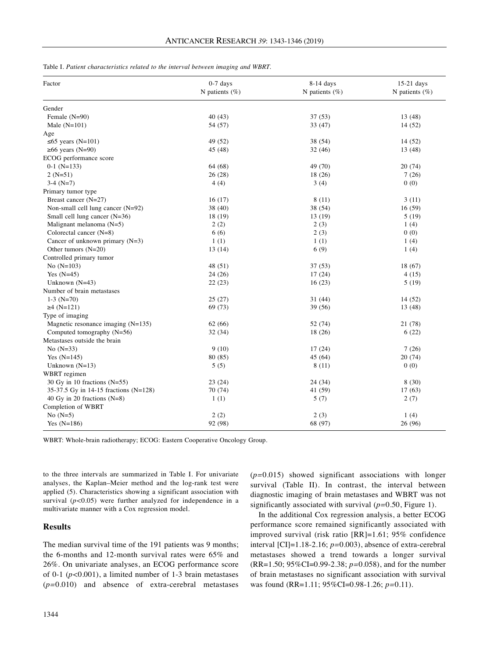| Factor                                | $0-7$ days         | 8-14 days         | 15-21 days         |
|---------------------------------------|--------------------|-------------------|--------------------|
|                                       | N patients $(\% )$ | N patients $(\%)$ | N patients $(\% )$ |
| Gender                                |                    |                   |                    |
| Female (N=90)                         | 40 (43)            | 37(53)            | 13(48)             |
| Male $(N=101)$                        | 54 (57)            | 33(47)            | 14(52)             |
| Age                                   |                    |                   |                    |
| $\leq 65$ years (N=101)               | 49 (52)            | 38 (54)           | 14 (52)            |
| $\geq 66$ years (N=90)                | 45 (48)            | 32(46)            | 13(48)             |
| ECOG performance score                |                    |                   |                    |
| $0-1$ (N=133)                         | 64 (68)            | 49 (70)           | 20(74)             |
| $2(N=51)$                             | 26(28)             | 18(26)            | 7(26)              |
| $3-4(N=7)$                            | 4(4)               | 3(4)              | 0(0)               |
| Primary tumor type                    |                    |                   |                    |
| Breast cancer (N=27)                  | 16(17)             | 8(11)             | 3(11)              |
| Non-small cell lung cancer $(N=92)$   | 38 (40)            | 38 (54)           | 16(59)             |
| Small cell lung cancer (N=36)         | 18 (19)            | 13 (19)           | 5(19)              |
| Malignant melanoma $(N=5)$            | 2(2)               | 2(3)              | 1(4)               |
| Colorectal cancer (N=8)               | 6(6)               | 2(3)              | 0(0)               |
| Cancer of unknown primary $(N=3)$     | 1(1)               | 1(1)              | 1(4)               |
| Other tumors $(N=20)$                 | 13(14)             | 6(9)              | 1(4)               |
| Controlled primary tumor              |                    |                   |                    |
| No $(N=103)$                          | 48 (51)            | 37(53)            | 18(67)             |
| Yes $(N=45)$                          | 24(26)             | 17(24)            | 4 (15)             |
| Unknown $(N=43)$                      | 22(23)             | 16(23)            | 5(19)              |
| Number of brain metastases            |                    |                   |                    |
| $1-3$ (N=70)                          | 25(27)             | 31 (44)           | 14(52)             |
| $\geq 4$ (N=121)                      | 69 (73)            | 39(56)            | 13 (48)            |
| Type of imaging                       |                    |                   |                    |
| Magnetic resonance imaging $(N=135)$  | 62(66)             | 52 (74)           | 21 (78)            |
| Computed tomography (N=56)            | 32 (34)            | 18(26)            | 6(22)              |
| Metastases outside the brain          |                    |                   |                    |
| No $(N=33)$                           | 9(10)              | 17(24)            | 7(26)              |
| Yes $(N=145)$                         | 80 (85)            | 45 (64)           | 20 (74)            |
| Unknown $(N=13)$                      | 5(5)               | 8(11)             | 0(0)               |
| WBRT regimen                          |                    |                   |                    |
| 30 Gy in 10 fractions $(N=55)$        | 23(24)             | 24 (34)           | 8(30)              |
| 35-37.5 Gy in 14-15 fractions (N=128) | 70 (74)            | 41 (59)           | 17(63)             |
| 40 Gy in 20 fractions $(N=8)$         | 1(1)               | 5(7)              | 2(7)               |
| Completion of WBRT                    |                    |                   |                    |
| No $(N=5)$                            | 2(2)               | 2(3)              | 1(4)               |
| Yes $(N=186)$                         | 92 (98)            | 68 (97)           | 26 (96)            |

Table I. *Patient characteristics related to the interval between imaging and WBRT.*

WBRT: Whole-brain radiotherapy; ECOG: Eastern Cooperative Oncology Group.

to the three intervals are summarized in Table I. For univariate analyses, the Kaplan–Meier method and the log-rank test were applied (5). Characteristics showing a significant association with survival  $(p<0.05)$  were further analyzed for independence in a multivariate manner with a Cox regression model.

## **Results**

The median survival time of the 191 patients was 9 months; the 6-months and 12-month survival rates were 65% and 26%. On univariate analyses, an ECOG performance score of 0-1 (*p<*0.001), a limited number of 1-3 brain metastases (*p=*0.010) and absence of extra-cerebral metastases (*p=*0.015) showed significant associations with longer survival (Table II). In contrast, the interval between diagnostic imaging of brain metastases and WBRT was not significantly associated with survival (*p=*0.50, Figure 1).

In the additional Cox regression analysis, a better ECOG performance score remained significantly associated with improved survival (risk ratio [RR]=1.61; 95% confidence interval [CI]=1.18-2.16; *p=*0.003), absence of extra-cerebral metastases showed a trend towards a longer survival (RR=1.50; 95%CI=0.99-2.38; *p=*0.058), and for the number of brain metastases no significant association with survival was found (RR=1.11; 95%CI=0.98-1.26; *p=*0.11).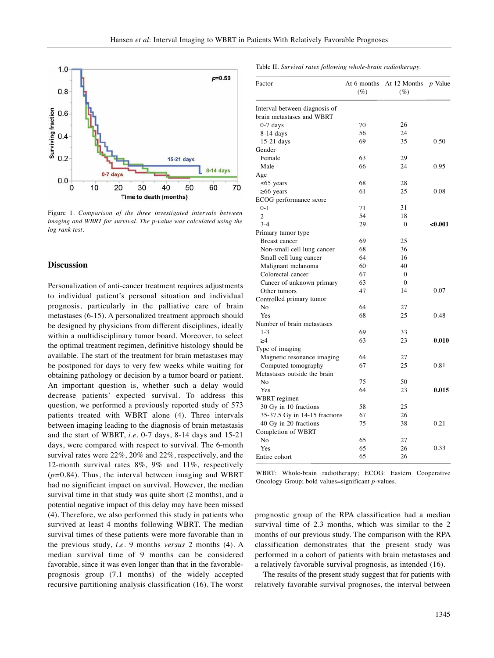

Figure 1. *Comparison of the three investigated intervals between imaging and WBRT for survival. The p-value was calculated using the log rank test.*

## **Discussion**

Personalization of anti-cancer treatment requires adjustments to individual patient's personal situation and individual prognosis, particularly in the palliative care of brain metastases (6-15). A personalized treatment approach should be designed by physicians from different disciplines, ideally within a multidisciplinary tumor board. Moreover, to select the optimal treatment regimen, definitive histology should be available. The start of the treatment for brain metastases may be postponed for days to very few weeks while waiting for obtaining pathology or decision by a tumor board or patient. An important question is, whether such a delay would decrease patients' expected survival. To address this question, we performed a previously reported study of 573 patients treated with WBRT alone (4). Three intervals between imaging leading to the diagnosis of brain metastasis and the start of WBRT, *i.e.* 0-7 days, 8-14 days and 15-21 days, were compared with respect to survival. The 6-month survival rates were 22%, 20% and 22%, respectively, and the 12-month survival rates 8%, 9% and 11%, respectively (*p=*0.84). Thus, the interval between imaging and WBRT had no significant impact on survival. However, the median survival time in that study was quite short (2 months), and a potential negative impact of this delay may have been missed (4). Therefore, we also performed this study in patients who survived at least 4 months following WBRT. The median survival times of these patients were more favorable than in the previous study, *i.e.* 9 months *versus* 2 months (4). A median survival time of 9 months can be considered favorable, since it was even longer than that in the favorableprognosis group (7.1 months) of the widely accepted recursive partitioning analysis classification (16). The worst Table II. *Survival rates following whole-brain radiotherapy.*

| Factor                        | At 6 months<br>$(\%)$ | At 12 Months<br>(%) | $p$ -Value |
|-------------------------------|-----------------------|---------------------|------------|
| Interval between diagnosis of |                       |                     |            |
| brain metastases and WBRT     |                       |                     |            |
| $0-7$ days                    | 70                    | 26                  |            |
| 8-14 days                     | 56                    | 24                  |            |
| $15-21$ days                  | 69                    | 35                  | 0.50       |
| Gender                        |                       |                     |            |
| Female                        | 63                    | 29                  |            |
| Male                          | 66                    | 24                  | 0.95       |
| Age                           |                       |                     |            |
| $\leq 65$ years               | 68                    | 28                  |            |
| $\geq 66$ years               | 61                    | 25                  | 0.08       |
| ECOG performance score        |                       |                     |            |
| $0 - 1$                       | 71                    | 31                  |            |
| $\overline{2}$                | 54                    | 18                  |            |
| $3 - 4$                       | 29                    | $\theta$            | < 0.001    |
| Primary tumor type            |                       |                     |            |
| Breast cancer                 | 69                    | 25                  |            |
| Non-small cell lung cancer    | 68                    | 36                  |            |
| Small cell lung cancer        | 64                    | 16                  |            |
| Malignant melanoma            | 60                    | 40                  |            |
| Colorectal cancer             | 67                    | $\overline{0}$      |            |
| Cancer of unknown primary     | 63                    | $\Omega$            |            |
| Other tumors                  | 47                    | 14                  | 0.07       |
| Controlled primary tumor      |                       |                     |            |
| No                            | 64                    | 27                  |            |
| Yes                           | 68                    | 25                  | 0.48       |
| Number of brain metastases    |                       |                     |            |
| $1 - 3$                       | 69                    | 33                  |            |
| $\geq 4$                      | 63                    | 23                  | 0.010      |
| Type of imaging               |                       |                     |            |
| Magnetic resonance imaging    | 64                    | 27                  |            |
| Computed tomography           | 67                    | 25                  | 0.81       |
| Metastases outside the brain  |                       |                     |            |
| No                            | 75                    | 50                  |            |
| Yes                           | 64                    | 23                  | 0.015      |
| WBRT regimen                  |                       |                     |            |
| 30 Gy in 10 fractions         | 58                    | 25                  |            |
| 35-37.5 Gy in 14-15 fractions | 67                    | 26                  |            |
| 40 Gy in 20 fractions         | 75                    | 38                  | 0.21       |
| Completion of WBRT            |                       |                     |            |
| No                            | 65                    | 27                  |            |
| Yes                           | 65                    | 26                  | 0.33       |
| Entire cohort                 | 65                    | 26                  |            |

WBRT: Whole-brain radiotherapy; ECOG: Eastern Cooperative Oncology Group; bold values=significant *p-*values.

prognostic group of the RPA classification had a median survival time of 2.3 months, which was similar to the 2 months of our previous study. The comparison with the RPA classification demonstrates that the present study was performed in a cohort of patients with brain metastases and a relatively favorable survival prognosis, as intended (16).

The results of the present study suggest that for patients with relatively favorable survival prognoses, the interval between